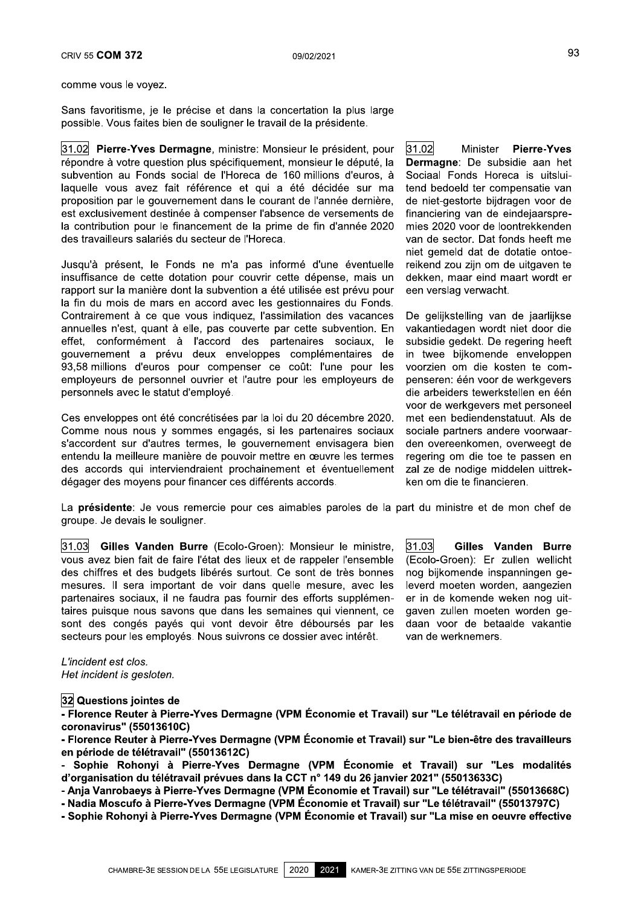32 Questions jointes de

- Florence Reuter à Pierre-Yves Dermagne (VPM Économie et Travail) sur "Le télétravail en période de coronavirus" (55013610C)

- Florence Reuter à Pierre-Yves Dermagne (VPM Économie et Travail) sur "Le bien-être des travailleurs en période de télétravail" (55013612C)

- Sophie Rohonyi à Pierre-Yves Dermagne (VPM Économie et Travail) sur "Les modalités d'organisation du télétravail prévues dans la CCT n° 149 du 26 janvier 2021" (55013633C)

- Anja Vanrobaeys à Pierre-Yves Dermagne (VPM Économie et Travail) sur "Le télétravail" (55013668C)
- Nadia Moscufo à Pierre-Yves Dermagne (VPM Économie et Travail) sur "Le télétravail" (55013797C)
- Sophie Rohonyi à Pierre-Yves Dermagne (VPM Économie et Travail) sur "La mise en oeuvre effective

2020 2021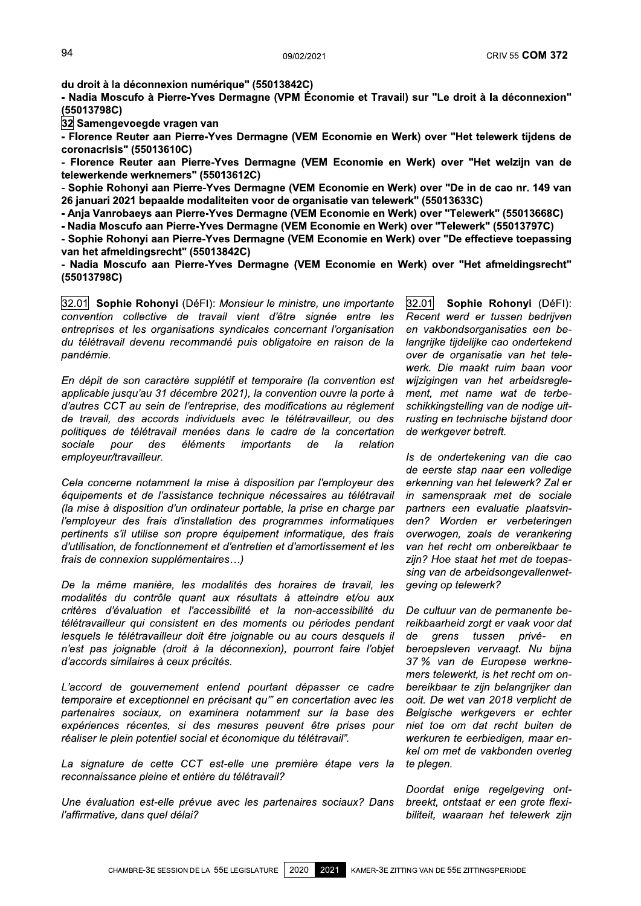<sup>09/02/2021</sup><br>du droit à la déconnexion numérique" (55013842C)<br>- Nadia Moscufo à Pierre-Yves Dermagne (VPM Écon<br>(55013798C)<br><u>32</u> Samengevoegde vragen van<br>- Florence Reuter aan Pierre-Yves Dermagne (VEM E<br>coronacrisis" (5501 external and distributed in the offer the offering the offering the offering the offering the offering the distributed a Pierre-Yves Dermagne (VPM Économie et Travail) sur "Le droit à la déconnexion"<br>(55013798C)<br>2. Samenge (55013798C)<br>32 Samengevoegde vragen van 94<br>du droit à la déconnexion numérique" (550<sup>-</sup><br>- Nadia Moscufo à Pierre-Yves Dermagne (<br><u>(55</u>013798C)<br>32 Samengevoegde vragen van<br>- Florence Reuter aan Pierre-Yves Dermag<br>coronacrisis" (55013610C)<br>- Florence Reuter aan Pi extra dia different and Pierre-Yves Dermagne (VPM Economie et Travail) sur "Le droit à la déconnexion"<br>
19/02/2021<br>
- Nadia Moscuro à Pierre-Yves Dermagne (VPM Economie et Travail) sur "Le droit à la déconnexion"<br>
19/01/37 94<br>
du droit à la déconnexion nun<br>
- Nadia Moscufo à Pierre-Yve<br>
(55013798C)<br>
<u>32</u> Samengevoegde vragen va<br>
- Florence Reuter aan Pierre-<br>
coronacrisis'' (55013610C)<br>
- Florence Reuter aan Pierre-<br>
telewerkende werknemers' du droit à la déconnexion numérique" (55013842C)<br>
- Nadia Moscuto à Pierre-Yves Dermagne (VPM Économie et Travail) sur "Le droit à la déconnexion"<br>
(55013798C)<br>
33 Samengevoegde vragen van<br>
- Florence Reuter aan Pierre-Yve du droit à la déconnexion numérique" (550138<br>
- Nadia Moscufo à Pierre-Yves Dermagne (VF<br>
(55013798C)<br>
22] Samengevoegde vragen van<br>
- Florence Reuter aan Pierre-Yves Dermagne<br>
coronacrisis" (55013610C)<br>
- Florence Reuter u droit a la deconnextion inutilerique (35013642C)<br>
- Nadia Moscufo à Pierre-Yves Dermagne (VPM Economie et Travail) sur "Le droit à la déconnexion"<br>
(55013798C)<br>
32] Samengevoegde vragen van<br>
- Florence Reuter aan Pierre-

The Connaction of Pierre-Trees Dermagne (VEM Economie et Travali) survey that in the Constant in S5013798C)<br>
(55013798C)<br>
Cornoractisis "(55013610C)<br>
Cornoractisis" (55013612C)<br>
- Florence Reuter aan Pierre-Yves Dermagne ( [32] Samengevoegde vragen van<br>
Erlorence Reuter aan Pierre-Yves Dermagne (VEM Economie en Werk) over "Het telewerk tijdens de<br>
coronacrisis" (55013610C)<br>
- Florence Reuter aan Pierre-Yves Dermagne (VEM Economie en Werk) ov

(55013798C)

bergevolution Form and The Communication of Finder and Pierre-Yves Dermagne (VEM Economie en Werk) over "Het telewerk tijdens de<br>
coronacrisis" (55013610C)<br>
- Florence Reuter aan Pierre-Yves Dermagne (VEM Economie en Werk) - Fiorence Reuter aan Pierre-Yves Dermagne (VEM Economie en Werk) over "Het telewerk tijdens de<br>
coronacrisis" (55013610C)<br>
- Florence Reuter aan Pierre-Yves Dermagne (VEM Economie en Werk) over "Het welzijn van de<br>
telewe coronacrisis (55013610C)<br>
- Florence Reuter aan Pierre-Yves Der<br>
telewerkende werknemers" (55013612C)<br>
- Sophie Rohonyi aan Pierre-Yves Derma<br>
26 januari 2021 bepaalde modaliteiten vo<br>
- Anja Vanrobaeys aan Pierre-Yves Der - Fiorence Keuter aan Piere-Yves Dermagne (VEM Economie en Werk) over "Het Wezijn van de<br>
relewerkende werknemers" (55013612C)<br>
- Sophie Rohonyi aan Pierre-Yves Dermagne (VEM Economie en Werk) over "Telewerk" (5501368C)<br>
- $\overline{ }$ <u>32.01</u> Sopnie Rononyi (DeFI): *Monsieur le ministre, une importante* convention collective de travail vient d'être signée entre les entreprises et les organisations syndicales concernant l'organisation du télétravail devenu recommandé puis obligatoire en raison de la pandémie.

 $\mathbb{R}^2$ En depit de son caractere suppietit et temporaire (la convention est applicable jusqu'au 31 décembre 2021), la convention ouvre la porte à d'autres CCT au sein de l'entreprise, des modifications au règlement de travail, des accords individuels avec le télétravailleur, ou des politiques de télétravail menées dans le cadre de la concertation<br>sociale pour des éléments importants de la relation sociale pour des elements importants de la relation employeur/travailleur.

Cela concerne notamment la mise a disposition par l'employeur des équipements et de l'assistance technique nécessaires au télétravail (la mise à disposition d'un ordinateur portable, la prise en charge par l'employeur des frais d'installation des programmes informatiques pertinents s'il utilise son propre équipement informatique, des frais d'utilisation, de fonctionnement et d'entretien et d'amortissement et les frais de connexion supplémentaires...)

 $\mu$ e la meme maniere, les modalites des noralres de travali, les modalités du contrôle quant aux résultats à atteindre et/ou aux critères d'évaluation et l'accessibilité et la non-accessibilité du télétravailleur qui consistent en des moments ou périodes pendant lesquels le télétravailleur doit être joignable ou au cours desquels il n'est pas joignable (droit à la déconnexion), pourront faire l'objet d'accords similaires à ceux précités.

 L'accord de gouvernement entend pourtant depasser ce cadre temporaire et exceptionnel en précisant qu" en concertation avec les partenaires sociaux, on examinera notamment sur la base des expériences récentes, si des mesures peuvent être prises pour réaliser le plein potentiel social et économique du télétravail".

 La signature de cette CCT est-elle une premiere etape vers la reconnaissance pleine et entière du télétravail?

One evaluation est-elle prevue avec les partenaires sociaux? Dans l'affirmative, dans quel délai?

 $|32.01|$ Sophie Rohonyi (DéFI): Recent werd er tussen bedrijven en vakbondsorganisaties een belangrijke tijdelijke cao ondertekend over de organisatie van het telewerk. Die maakt ruim baan voor wijzigingen van het arbeidsreglement, met name wat de terbeschikkingstelling van de nodige uitrusting en technische bijstand door de werkgever betreft.

i. is de ondertekening van die cao de eerste stap naar een volledige erkenning van het telewerk? Zal er in samenspraak met de sociale partners een evaluatie plaatsvinden? Worden er verbeteringen overwogen, zoals de verankering van het recht om onbereikbaar te zijn? Hoe staat het met de toepassing van de arbeidsongevallenwetgeving op telewerk?

 De cultuur van de permanente bereikbaarheid zorgt er vaak voor dat<br>de arens tussen privé- en grens tussen privéberoepsleven vervaagt. Nu bijna 37 % van de Europese werknemers telewerkt, is het recht om onbereikbaar te zijn belangrijker dan ooit. De wet van 2018 verplicht de Belgische werkgevers er echter niet toe om dat recht buiten de werkuren te eerbiedigen, maar enkel om met de vakbonden overleg te plegen.

 $\mathbb{Z}^2$ Doordat enige regelgeving ontbreekt, ontstaat er een grote flexibiliteit, waaraan het telewerk zijn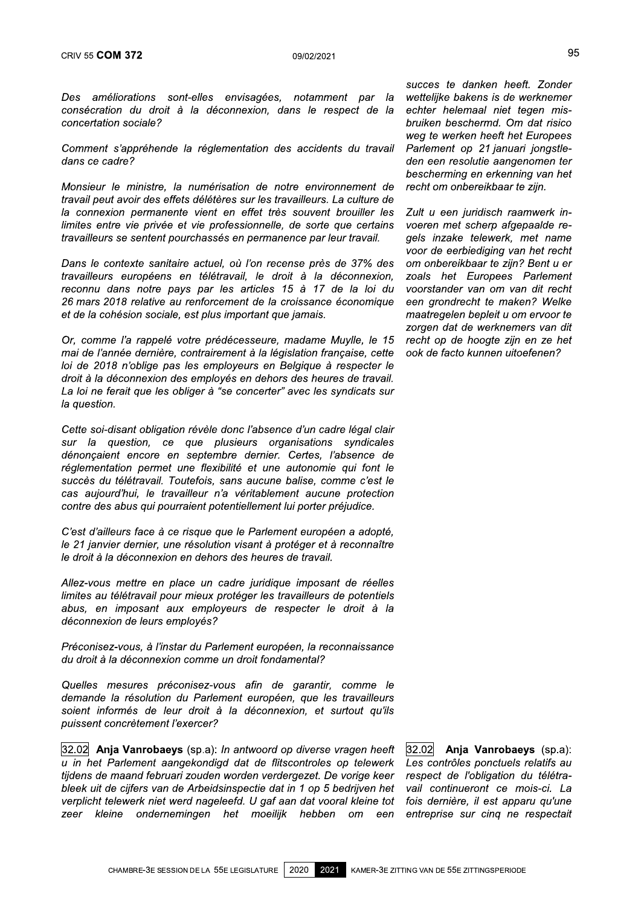Des améliorations sont-elles envisagées, ERIV 55 **COM 372**<br>
Des améliorations sont-elles envisagées, notamment par la wettelijke bakensi<br>
consécration du droit à la déconnexion, dans le respect de la echter helemaal<br>
concertation sociale?<br>
Comment s'appréhende la

Ú, Comment s'apprenende la regiementation des accidents du travail

ERIV 55 **COM 372**<br>
Des améliorations sont-elles envisagées, notamment par la wettelijke bakens is<br>
consécration du droit à la déconnexion, dans le respect de la echter helemaal<br>
concertation sociale?<br>
Comment s'appréhende CRIV 55 **COM 372**<br>
Des améliorations sont-elles envis<br>
consécration du droit à la déconne<br>
concertation sociale?<br>
Comment s'appréhende la réglementa<br>
dans ce cadre?<br>
Monsieur le ministre, la numérisation<br>
travail peut avoi Des améliorations sont-elles<br>consécration du droit à la dé<br>concertation sociale?<br>Comment s'appréhende la rég<br>dans ce cadre?<br>Monsieur le ministre, la numé<br>travail peut avoir des effets délé.<br>la connexion permanente vien<br>lim Monsieur le ministre, la numérisation de notre environnement de Des améliorations sont-elles envisagées, notamment par la<br>consécration du droit à la déconnexion, dans le respect de la<br>concertation sociale?<br>Comment s'appréhende la réglementation des accidents du travail<br>dans ce cadre?<br>M Les ameliorations sont-eiles envisagees, notamment par la wetterligte concertation or di di deconnexion, dans le respect de la echter word to concertation sociale?<br>
Comment s'appréhende la réglementation des accidents du t

consecration ou droit a la deconnexion, dans le respect de la<br>concertation sociale?<br>Comment s'appréhende la réglementation des accidents du travail<br>dans ce cadre?<br>Monsieur le ministre, la numérisation de notre environnemen concertation sociale?<br>
Comment s'appréhende la réglementation des accidents du travail Parlement op :<br>
dans ce cadre?<br>
Monsieur le ministre, la numérisation de notre environnement de recht om onbere<br>
travail peut avoir des Comment s'appréhende la réglementation des accidents du travail Parlement op<br>dans ce cadre? den een resol<br>dans ce cadre? den een resol<br>Monsieur le ministre, la numérisation de notre environnement de recht om onbe<br>travail p Ľ, Dans le contexte sanitaire actuel, ou l'on recense pres de 37% des Monsieur le ministre, la numérisation de notre environnement de recontravail peut avoir des effets délétères sur les travailleurs. La culture de<br>la connexion permanente vient en effet très souvent brouiller les Zult<br>limite

Monsieur ie ministre, ia numerisation de nortre entricomiement de<br>
travailleurs certic and the entricomiement of the entricomiement of<br>
la connexion permanente vient en effet très souvent brouiller les Zult u een<br>
limites chavall peut avoir des eneis deleteres sur les travailleurs. La culture de<br>
la connexion permanente vient en effet très souvent brouiller les Thintes entre vie privée et vie professionnelle, de sorte que certains vo<br>
trava a connexion permanente vient en enet tres souvent brouwer ies zu<br>limites entre vie privée et vie professionnelle, de sorte que certains vor<br>travailleurs se sentent pourchassés en permanence par leur travail. ge<br>Dans le con Ċ, Or, comme la rappele votre predecesseure, madame Muylle, le 15 mai de l'année dernière, contrairement à la législation française, cette loi de 2018 n'oblige pas les employeurs en Belgique à respecter le droit à la déconnexion des employés en dehors des heures de travail. fravailents europens en telentavail, le troit a la deconnexion, zoals her connu dans notre pays par les articles 15 à 17 de la loi du voorstander van<br>26 mars 2018 relative au renforcement de la croissance économique een gr La loi ne ferait que les obliger à "se concerter" avec les syndicats sur<br>la question.

zo mars zo ra relative<br>
et de la cohésion socia<br>
Or, comme l'a rappelé<br>
mai de l'année dernière<br>
loi de 2018 n'oblige pa<br>
droit à la déconnexion<br>
La loi ne ferait que les<br>
la question.<br>
Cette soi-disant obligat<br>
sur la que Cette soi-disant obligation révèle donc l'absence d'un cadre légal clair Or, comme l'a rappelé votre prédécesseure, madame Muylle, le 15<br>mai de l'année dernière, contrairement à la législation française, cette<br>loi de 2018 n'oblige pas les employeurs en Belgique à respecter le<br>droit à la déconne or, comme ra rappele votre predecesseure, madame muylle, le 15 recht op de noi<br>mai de l'année dernière, contrairement à la législation française, cette ook de facto kui<br>loi de 2018 n'oblige pas les employeurs en Belgique à dénonçaient encore en septembre dernier. Certes, l'absence de<br>réglementation permet une flexibilité et une autonomie qui font le ol de 2018 n'oblige pas les employeurs en Belgique à respecter le<br>droit à la déconnexion des employés en dehors des heures de travail.<br>La loi ne ferait que les obliger à "se concerter" avec les syndicats sur<br>la question.<br>C droit a la deconnexion des employes en denors des neures de travail.<br>La loi ne ferait que les obliger à "se concerter" avec les syndicats sur<br>la question.<br>Cette soi-disant obligation révèle donc l'absence d'un cadre légal cas aujourd'hui, le travailleur n'a véritablement aucune protection contre des abus qui pourraient potentiellement lui porter préjudice. Fa question.<br>
Cette soi-disant obligation révèle donc l'absence d'un cadre légal clasur la question, ce que plusieurs organisations syndicale<br>
dénonçaient encore en septembre dernier. Certes, l'absence d'églementation perm sur la question, ce que puisieurs organisations syndicales<br>dénonçaient encore en septembre dernier. Certes, l'absence de<br>réglementation permet une flexibilité et une autonomie qui font le<br>succès du télétravail. Toutefois, denonçaient encore en sepembre dernier. Certes, raosence de<br>
réglementation permet une flexibilité et une autonomie qui font le<br>
succès du télétravail. Toutefois, sans aucune balise, comme c'est le<br>
cas aujourd'hui, le tra

Ċ,  $C$ est d'allieurs face a ce risque que le Parlement europeen a adopte,

Allez-vous mettre en place un cadre juridique imposant de réelles succes au teletravali. Toutelois, sans aucune bailse, comme c'est le<br>cas aujourd'hui, le travailleur n'a véritablement aucune protection<br>contre des abus qui pourraient potentiellement lui porter préjudice.<br>C'est d'ailleurs cas aujoura nui, le travailleur n'a ventablement aucune protection<br>contre des abus qui pourraient potentiellement lui porter préjudice.<br>C'est d'ailleurs face à ce risque que le Parlement européen a adopté,<br>le 21 janvier de contre des abus qui pourraient potentienement iur poner prejudice.<br>
C'est d'ailleurs face à ce risque que le Parlement européen a adopté,<br>
le 21 janvier dernier, une résolution visant à protéger et à reconnaître<br>
le droit déconnexion de leurs employés? Fe aroll a la deconnexion en denors des neures de travail.<br>
Allez-vous mettre en place un cadre juridique imposant de réelles<br>
limites au télétravail pour mieux protéger les travailleurs de potentiels<br>
abus, en imposant au

 $\mathbf{r}$ Preconisez-vous, a rinstar du Parlement europeen, la reconnaissance

soient informés de leur droit à la déconnexion, et surtout qu'ils puissent concrètement l'exercer?

Allez-vous metite en place un cadre junique imposant de reelles<br>limites au télétravail pour mieux protéger les travailleurs de potentiels<br>abus, en imposant aux employeurs de respecter le droit à la<br>déconnexion de leurs emp mmies au eieravail pour meux proteger les travailleurs de potentiels<br>abus, en imposant aux employés?<br>Préconisez-vous, à l'instar du Parlement européen, la reconnaissance<br>du droit à la déconnexion comme un droit fondamental 32.02 Anja Vanrobaeys (sp.a): In antwoord op diverse vragen heeft Preconsez-vous, a rinstar du Parlement europeeri, la reconnaissance<br>du droit à la déconnexion comme un droit fondamental?<br>Quelles mesures préconisez-vous afin de garantir, comme le<br>demande la résolution du Parlement europé Quelles mesures préconisez-vous afin de garantir, comme le<br>demande la résolution du Parlement européen, que les travailleurs<br>soient informés de leur droit à la déconnexion, et surtout qu'ils<br>puissent concrétement l'exercer Quelles mesures préconisez-vous afin de garantir, comme le demande la résolution du Parlement européen, que les travailleurs soient informés de leur droit à la déconnexion, et surtout qu'ils puissent concrètement l'exerce Quelles riesures preconsez-vous and de garantur, comme le<br>demande la résolution du Parlement européen, que les travailleurs<br>soient informés de leur droit à la déconnexion, et surtout qu'ils<br>puissent concrétement l'exercer? dernande la resolution du Patienient europeeri, que les travailleurs<br>soient informés de leur droit à la déconnexion, et surtout qu'ils<br>puissent concrétement l'exercer?<br>32.02<br>d in het Parlement aangekondigd dat de flitscont zeer kleine ondernemingen het moeilijk hebben om een

95<br>
succes te danken heeft. Zonder<br>
bar la wettelijke bakens is de werknemer<br>
de la echter helemaal niet tegen mis-<br>
bruiken beschermd. Om dat risico<br>
weg te werken heeft het Europees<br>
travail Parlement op 21 januari jongs 95<br>
succes te danken heeft. Zonder<br>
par la wettelijke bakens is de werknemer<br>
ct de la echter helemaal niet tegen mis-<br>
bruiken beschermd. Om dat risico<br>
weg te werken heeft het Europees<br>
du travail Parlement op 21 januari 95<br>succes te danken heeft. Zonder<br>ar la wettelijke bakens is de werknemer<br>de la echter helemaal niet tegen mis-<br>bruiken beschermd. Om dat risico<br>weg te werken heeft het Europees<br>travail Parlement op 21 januari jongstle-<br>de 95<br>succes te danken heeft. Zonder<br>wettelijke bakens is de werknemer<br>echter helemaal niet tegen mis-<br>bruiken beschermd. Om dat risico<br>weg te werken heeft het Europees<br>Parlement op 21 januari jongstle-<br>den een resolutie aang weg te werken heeft het Europees<br>Parlement op 21 januari jongstle- $\,$ 02/2021<br>
succes te danken heeft. Zonder<br>
tamment par la wettelijke bakens is de werknemer<br>
le respect de la echter helemaal niet tegen mis-<br>
bruiken beschermd. Om dat risico<br>
weg te werken heeft het Europees<br>
ccidents succes te danken heeft. Zonder<br>
la wettelijke bakens is de werknemer<br>
la echter helemaal niet tegen mis-<br>
bruiken beschermd. Om dat risico<br>
weg te werken heeft het Europees<br>
ail Parlement op 21 januari jongstle-<br>
den een r succes te danken heeft. Zonder<br>wettelijke bakens is de werknemer<br>echter helemaal niet tegen mis-<br>bruiken beschermd. Om dat risico<br>weg te werken heeft het Europees<br>Parlement op 21 januari jongstle-<br>den een resolutie aangeno succes te danken neett. Zonder<br>
wettelijke bakens is de werknemer<br>
echter helemaal niet tegen mis-<br>
bruiken beschermd. Om dat risico<br>
weg te werken heeft het Europees<br>
il Parlement op 21 januari jongstle-<br>
den een resoluti

Zult u een juridisch raamwerk inechter nelemaal niet tegen mis-<br>bruiken beschermd. Om dat risico<br>weg te werken heeft het Europees<br>Parlement op 21 januari jongstle-<br>den een resolutie aangenomen ter<br>bescherming en erkenning van het<br>recht om onbereikbaar te bruiken bescherma. Om dat risico<br>
weg te werken heeft het Europees<br>
Parlement op 21 januari jongstle-<br>
den een resolutie aangenomen ter<br>
bescherming en erkenning van het<br>
recht om onbereikbaar te zijn.<br>
Zult u een juridisc weg te werken neent net Europees<br>
du travail Parlement op 21 januari jongstle-<br>
den een resolutie aangenomen ter<br>
bescherming en erkenning van het<br>
nement de recht om onbereikbaar te zijn.<br>
a culture de<br>
brouiller les Zult Panement op 21 januari jongstie-<br>den een resolutie aangenomen ter<br>bescherming en erkenning van het<br>recht om onbereikbaar te zijn.<br>Zult u een juridisch raamwerk in-<br>voeren met scherp afgepaalde re-<br>gels inzake telewerk, met den een resolutie aangenomen ter<br>bescherming en erkenning van het<br>ent de recht om onbereikbaar te zijn.<br>lure de<br>ler les Zult u een juridisch raamwerk in-<br>ertains voeren met scherp afgepaalde re-<br>gels inzake telewerk, met n bescherming en erkenning van het<br>
environnement de recht om onbereikbaar te zijn.<br>
eurs. La culture de<br>
vent brouiller les Zult u een juridisch raamwerk in-<br>
sorte que certains voeren met scherp afgepaalde re-<br>
par leur tr onnement de Fecht om onbereikbaar te zijn.<br>
La culture de<br>
t brouiller les Zult u een juridisch raamwerk in-<br>
eque certains voeren met scherp afgepaalde re-<br>
leur travail. gels inzake telewerk, met name<br>
soor de eerbiedigi Zult u een juridisch raamwerk in-<br>voeren met scherp afgepaalde re-<br>gels inzake telewerk, met name<br>voor de eerbiediging van het recht<br>om onbereikbaar te zijn? Bent u er<br>zoals het Europees Parlement<br>voorstander van om van di Went broulier less Zuit u een juridisch raamwerk in-<br>sorte que certains voeren met scherp afgepaalde re-<br>par leur travail. gels inzake telewerk, met name<br>voor de eerbiediging van het recht<br>près de 37% des om onbereikbaar t ue certains voeren met scherp argepaatde re-<br>
ir travail. gels inzake telewerk, met name<br>
voor de eerbiediging van het recht<br>
e 37% des om onbereikbaar te zijn? Bent u er<br>
cconnexion, zoals het Europees Parlement<br>
la loi d recht op de hoogte zijn en ze het<br>ook de facto kunnen uitoefenen? voor de eerbiediging van het recht<br>de 37% des om onbereikbaar te zijn? Bent u er<br>éconnexion, zoals het Europees Parlement<br>le la loi du voorstander van om van dit recht<br>économique een grondrecht te maken? Welke<br>maatregelen

32.02 Anja Vanrobaeys (sp.a):<br>Les contrôles ponctuels relatifs au 32.02 **Anja Vanrobaeys** (sp.a):<br>Les contrôles ponctuels relatifs au<br>respect de l'obligation du télétra-<br>vail continueront ce mois-ci. La<br>fois dernière, il est apparu qu'une<br>entreprise sur cinq ne respectait<br>ING VAN DE 55E le<br>
ils<br>
ils<br>
eff [32.02] **Anja Vanrobaeys** (sp.a):<br>
rk Les contrôles ponctuels relatifs au<br>
er respect de l'obligation du télétra-<br>
et vail continueront ce mois-ci. La<br>
tot fois dernière, il est apparu qu'une<br>
en entrepri Trantin, Comme Te<br>
14 pue les travailleurs<br>
(n, et surtout qu'ils<br>
(n, et surtout qu'ils<br>
troles op telewerk Les contrôles ponctuels relatifs au<br>
zet. De vorige keer respect de l'obligation du télétra-<br>
op 5 bedrijven het 32.02 **Anja Vanrobaeys** (sp.a):<br>Les contrôles ponctuels relatifs au<br>respect de l'obligation du télétra-<br>vail continueront ce mois-ci. La<br>fois dernière, il est apparu qu'une<br>entreprise sur cinq ne respectait<br>TITING VAN DE 5 32.02 **Anja Vanrobaeys** (sp.a):<br>Les contrôles ponctuels relatifs au<br>respect de l'obligation du télétra-<br>vail continueront ce mois-ci. La<br>fois dernière, il est apparu qu'une<br>entreprise sur cinq ne respectait<br>ing van de 55E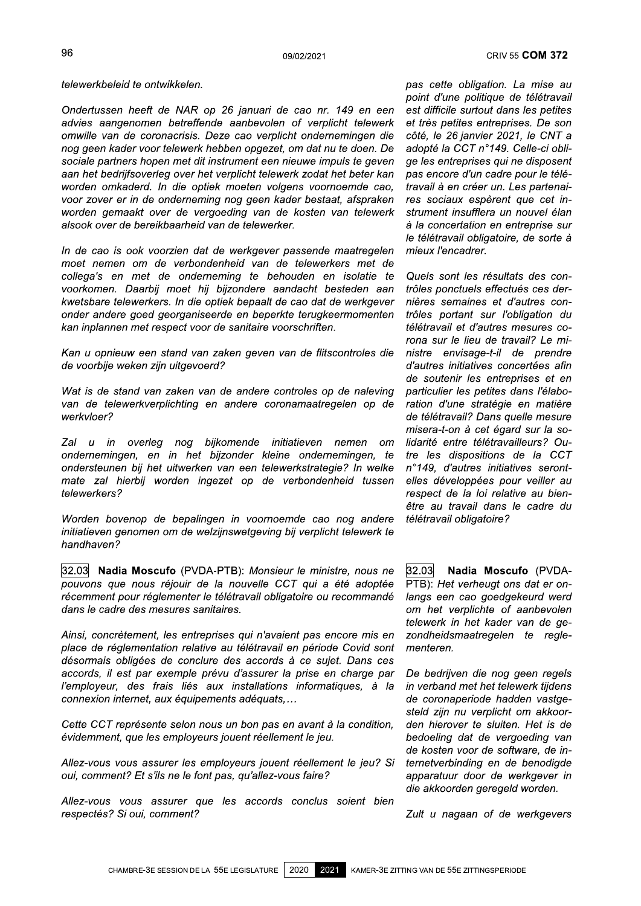telewerkbeleid te ontwikkelen.

Ondertussen heeft de NAR op 26 januari de cao nr. 149 en een advies aangenomen betreffende aanbevolen of verplicht telewerk omwille van de coronacrisis. Deze cao verplicht ondernemingen die nog geen kader voor telewerk hebben opgezet, om dat nu te doen. De sociale partners hopen met dit instrument een nieuwe impuls te geven aan het bedrijfsoverleg over het verplicht telewerk zodat het beter kan worden omkaderd. In die optiek moeten volgens voornoemde cao, voor zover er in de onderneming nog geen kader bestaat, afspraken worden gemaakt over de vergoeding van de kosten van telewerk alsook over de bereikbaarheid van de telewerker.

In de cao is ook voorzien dat de werkgever passende maatregelen moet nemen om de verbondenheid van de telewerkers met de collega's en met de onderneming te behouden en isolatie te voorkomen. Daarbij moet hij bijzondere aandacht besteden aan kwetsbare telewerkers. In die optiek bepaalt de cao dat de werkgever onder andere goed georganiseerde en beperkte terugkeermomenten kan inplannen met respect voor de sanitaire voorschriften.

Kan u opnieuw een stand van zaken geven van de flitscontroles die de voorbije weken zijn uitgevoerd?

Wat is de stand van zaken van de andere controles op de naleving van de telewerkverplichting en andere coronamaatregelen op de werkvloer?

Zal u in overleg nog bijkomende initiatieven nemen  $\alpha$ ondernemingen, en in het bijzonder kleine ondernemingen, te ondersteunen bij het uitwerken van een telewerkstrategie? In welke mate zal hierbij worden ingezet op de verbondenheid tussen telewerkers?

Worden bovenop de bepalingen in voornoemde cao nog andere initiatieven genomen om de welzijnswetgeving bij verplicht telewerk te handhaven?

32.03 Nadia Moscufo (PVDA-PTB): Monsieur le ministre, nous ne pouvons que nous réjouir de la nouvelle CCT qui a été adoptée récemment pour réglementer le télétravail obligatoire ou recommandé dans le cadre des mesures sanitaires.

Ainsi, concrètement, les entreprises qui n'avaient pas encore mis en place de réglementation relative au télétravail en période Covid sont désormais obligées de conclure des accords à ce sujet. Dans ces accords, il est par exemple prévu d'assurer la prise en charge par l'employeur, des frais liés aux installations informatiques, à la connexion internet, aux équipements adéquats,...

Cette CCT représente selon nous un bon pas en avant à la condition, évidemment, que les employeurs jouent réellement le jeu.

Allez-vous vous assurer les employeurs jouent réellement le jeu? Si oui, comment? Et s'ils ne le font pas, qu'allez-vous faire?

Allez-vous vous assurer que les accords conclus soient bien respectés? Si oui, comment?

pas cette obligation. La mise au point d'une politique de télétravail est difficile surtout dans les petites et très petites entreprises. De son côté, le 26 janvier 2021, le CNT a adopté la CCT n°149. Celle-ci oblige les entreprises qui ne disposent pas encore d'un cadre pour le télétravail à en créer un. Les partenaires sociaux espèrent que cet instrument insufflera un nouvel élan à la concertation en entreprise sur le télétravail obligatoire, de sorte à mieux l'encadrer.

Quels sont les résultats des contrôles ponctuels effectués ces dernières semaines et d'autres contrôles portant sur l'obligation du télétravail et d'autres mesures corona sur le lieu de travail? Le ministre envisage-t-il de prendre d'autres initiatives concertées afin de soutenir les entreprises et en particulier les petites dans l'élaboration d'une stratégie en matière de télétravail? Dans quelle mesure misera-t-on à cet égard sur la solidarité entre télétravailleurs? Outre les dispositions de la CCT n°149. d'autres initiatives serontelles développées pour veiller au respect de la loi relative au bienêtre au travail dans le cadre du télétravail obligatoire?

32.03 Nadia Moscufo (PVDA-PTB): Het verheugt ons dat er onlangs een cao goedgekeurd werd om het verplichte of aanbevolen telewerk in het kader van de gezondheidsmaatregelen te reglementeren.

De bedrijven die nog geen regels in verband met het telewerk tijdens de coronaperiode hadden vastgesteld zijn nu verplicht om akkoorden hierover te sluiten. Het is de bedoeling dat de vergoeding van de kosten voor de software, de internetverbinding en de benodigde apparatuur door de werkgever in die akkoorden geregeld worden.

Zult u nagaan of de werkgevers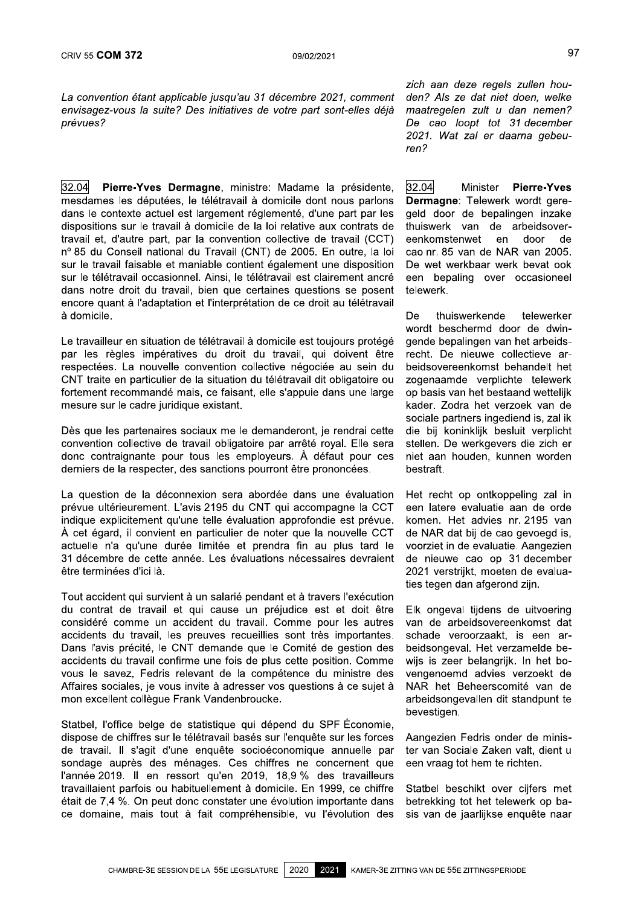La convention étant applicable jusqu'au 31 décembre 2021, comment CRIV 55 **COM 372** 09/02/2021<br>
La convention étant applicable jusqu'au 31 décembre 2021, comment den? Als<br>
envisagez-vous la suite? Des initiatives de votre part sont-elles déjà maatregele<br>
prévues? De cao<br>
2021. Wai<br>
<u>32.0</u> envisagez-vous la suite? Des initiatives de votre part sont-elles déjà prévues?

32.04 Pierre-Yves Dermagne, ministre: Madame la présidente, mesdames les députées, le télétravail à domicile dont nous parlons dans le contexte actuel est largement réglementé, d'une part par les dispositions sur le travail à domicile de la loi relative aux contrats de travail et, d'autre part, par la convention collective de travail (CCT) nº 85 du Conseil national du Travail (CNT) de 2005. En outre, la loi sur le travail faisable et maniable contient également une disposition sur le télétravail occasionnel. Ainsi, le télétravail est clairement ancré dans notre droit du travail, bien que certaines questions se posent encore quant à l'adaptation et l'interprétation de ce droit au télétravail à domicile.

Le travalileur en situation de teletravall a domicile est toujours protege par les règles impératives du droit du travail, qui doivent être respectées. La nouvelle convention collective négociée au sein du CNT traite en particulier de la situation du télétravail dit obligatoire ou fortement recommandé mais, ce faisant, elle s'appuie dans une large mesure sur le cadre juridique existant.

 $\mathbb{R}^2$ Des que les partenaires sociaux me le demanderont, je rendral cette convention collective de travail obligatoire par arrêté royal. Elle sera donc contraignante pour tous les employeurs. À défaut pour ces derniers de la respecter, des sanctions pourront être prononcées.

La question de la deconnexión sera abordee dans une evaluation prévue ultérieurement. L'avis 2195 du CNT qui accompagne la CCT indique explicitement qu'une telle évaluation approfondie est prévue. À cet égard, il convient en particulier de noter que la nouvelle CCT actuelle n'a qu'une durée limitée et prendra fin au plus tard le 31 décembre de cette année. Les évaluations nécessaires devraient être terminées d'ici là.

 Tout accident qui survient a un salarie pendant et a travers l'execution du contrat de travail et qui cause un préjudice est et doit être considéré comme un accident du travail. Comme pour les autres accidents du travail, les preuves recueillies sont très importantes. Dans l'avis précité, le CNT demande que le Comité de gestion des accidents du travail confirme une fois de plus cette position. Comme vous le savez. Fedris relevant de la compétence du ministre des Affaires sociales, je vous invite à adresser vos questions à ce sujet à mon excellent collègue Frank Vandenbroucke.

Statbel, l'office beige de statistique qui depend du SPF Economie, dispose de chiffres sur le télétravail basés sur l'enquête sur les forces de travail. Il s'agit d'une enquête socioéconomique annuelle par sondage auprès des ménages. Ces chiffres ne concernent que l'année 2019. Il en ressort qu'en 2019, 18,9 % des travailleurs travaillaient parfois ou habituellement à domicile. En 1999, ce chiffre  $\acute{v}$ etait de 7,4 %. On peut donc constater une évolution importante dans ce domaine, mais tout à fait compréhensible, vu l'évolution des

zich aan deze regels zullen houden? Als ze dat niet doen. welke maatregelen zult u dan nemen? De cao loopt tot 31 december 2021. Wat zal er daarna gebeuren?

32.04 Minister Pierre-Yves Dermagne: Telewerk wordt geregeld door de bepalingen inzake thuiswerk van de arbeidsover-<br>eenkomstenwet en door de eenkomstenwet cao nr. 85 van de NAR van 2005. De wet werkbaar werk bevat ook een bepaling over occasioneel telewerk.

De thuiswerkende telewerker wordt beschermd door de dwingende bepalingen van het arbeidsrecht. De nieuwe collectieve arbeidsovereenkomst behandelt het zogenaamde verplichte telewerk op basis van het bestaand wettelijk kader. Zodra het verzoek van de sociale partners ingediend is, zal ik die bij koninklijk besluit verplicht stellen. De werkgevers die zich er niet aan houden. kunnen worden bestraft

Het recht op ontkoppeling zal in een latere evaluatie aan de orde komen. Het advies nr. 2195 van de NAR dat bij de cao gevoegd is, voorziet in de evaluatie. Aangezien de nieuwe cao op 31 december 2021 verstrijkt, moeten de evaluaties tegen dan afgerond zijn.

 EIK ongeval tijdens de uitvoering van de arbeidsovereenkomst dat schade veroorzaakt, is een arbeidsongeval. Het verzamelde bewijs is zeer belangrijk. In het bovengenoemd advies verzoekt de NAR het Beneerscomite van de arbeidsongevallen dit standpunt te bevestigen.

Aangezien Fearis onder de minister van Sociale Zaken valt, dient u een vraag tot hem te richten.

Ú. Statbel beschikt over cijfers met betrekking tot het telewerk op basis van de jaarlijkse enquête naar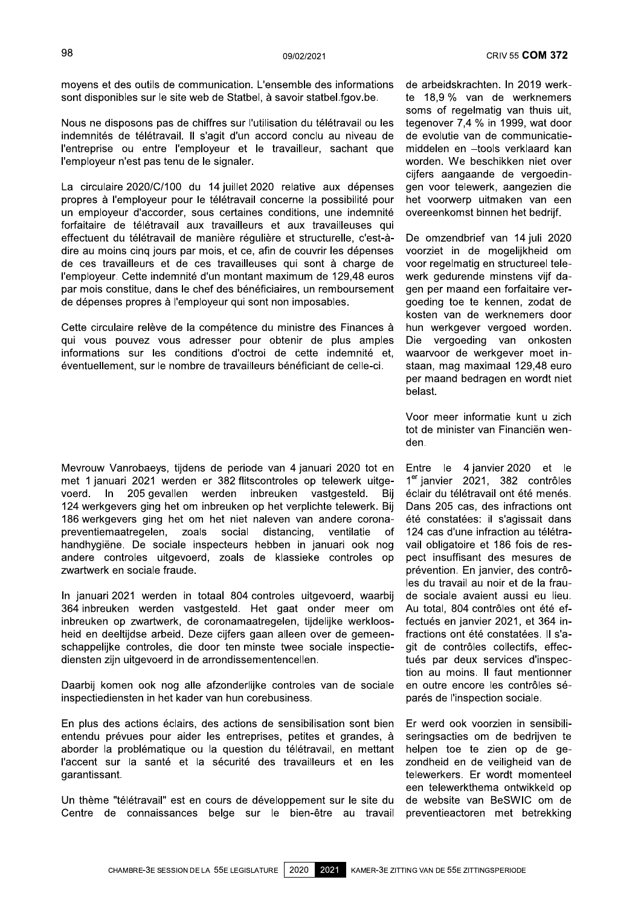moyens et des outils de communication. L'ensemble des informations sont disponibles sur le site web de Statbel, à savoir statbel.fgov.be.

Nous ne disposons pas de chiffres sur l'utilisation du télétravail ou les indemnités de télétravail. Il s'agit d'un accord conclu au niveau de l'entreprise ou entre l'employeur et le travailleur, sachant que l'employeur n'est pas tenu de le signaler.

La circulaire 2020/C/100 du 14 juillet 2020 relative aux dépenses propres à l'employeur pour le télétravail concerne la possibilité pour un employeur d'accorder, sous certaines conditions, une indemnité forfaitaire de télétravail aux travailleurs et aux travailleuses qui effectuent du télétravail de manière régulière et structurelle, c'est-àdire au moins cinq jours par mois, et ce, afin de couvrir les dépenses de ces travailleurs et de ces travailleuses qui sont à charge de l'employeur. Cette indemnité d'un montant maximum de 129,48 euros par mois constitue, dans le chef des bénéficiaires, un remboursement de dépenses propres à l'employeur qui sont non imposables.

Cette circulaire relève de la compétence du ministre des Finances à qui vous pouvez vous adresser pour obtenir de plus amples informations sur les conditions d'octroi de cette indemnité et, éventuellement, sur le nombre de travailleurs bénéficiant de celle-ci.

Mevrouw Vanrobaevs, tijdens de periode van 4 januari 2020 tot en met 1 januari 2021 werden er 382 flitscontroles op telewerk uitgevoerd. In 205 gevallen werden inbreuken vastgesteld. Bii 124 werkgevers ging het om inbreuken op het verplichte telewerk. Bij 186 werkgevers ging het om het niet naleven van andere coronapreventiemaatregelen, zoals social distancing. ventilatie of handhygiëne. De sociale inspecteurs hebben in januari ook nog andere controles uitgevoerd, zoals de klassieke controles op zwartwerk en sociale fraude.

In januari 2021 werden in totaal 804 controles uitgevoerd, waarbij 364 inbreuken werden vastgesteld. Het gaat onder meer om inbreuken op zwartwerk, de coronamaatregelen, tijdelijke werkloosheid en deeltiidse arbeid. Deze ciifers gaan alleen over de gemeenschappelijke controles, die door ten minste twee sociale inspectiediensten zijn uitgevoerd in de arrondissementencellen.

Daarbij komen ook nog alle afzonderlijke controles van de sociale inspectiediensten in het kader van hun corebusiness.

En plus des actions éclairs, des actions de sensibilisation sont bien entendu prévues pour aider les entreprises, petites et grandes, à aborder la problématique ou la question du télétravail, en mettant l'accent sur la santé et la sécurité des travailleurs et en les garantissant.

Un thème "télétravail" est en cours de développement sur le site du Centre de connaissances belge sur le bien-être au travail

de arbeidskrachten. In 2019 werkte 18,9 % van de werknemers soms of regelmatig van thuis uit, tegenover 7,4 % in 1999, wat door de evolutie van de communicatiemiddelen en -tools verklaard kan worden. We beschikken niet over cijfers aangaande de vergoedingen voor telewerk, aangezien die het voorwerp uitmaken van een overeenkomst binnen het bedrijf.

De omzendbrief van 14 juli 2020 voorziet in de mogelijkheid om voor regelmatig en structureel telewerk gedurende minstens vijf dagen per maand een forfaitaire vergoeding toe te kennen, zodat de kosten van de werknemers door hun werkgever vergoed worden. Die vergoeding van onkosten waarvoor de werkgever moet instaan, mag maximaal 129.48 euro per maand bedragen en wordt niet belast.

Voor meer informatie kunt u zich tot de minister van Financiën wenden.

Entre le 4 ianvier 2020 et le 1<sup>er</sup> janvier 2021, 382 contrôles éclair du télétravail ont été menés. Dans 205 cas, des infractions ont été constatées: il s'agissait dans 124 cas d'une infraction au télétravail obligatoire et 186 fois de respect insuffisant des mesures de prévention. En janvier, des contrôles du travail au noir et de la fraude sociale avaient aussi eu lieu. Au total, 804 contrôles ont été effectués en janvier 2021, et 364 infractions ont été constatées. Il s'agit de contrôles collectifs, effectués par deux services d'inspection au moins. Il faut mentionner en outre encore les contrôles séparés de l'inspection sociale.

Er werd ook voorzien in sensibiliseringsacties om de bedrijven te helpen toe te zien op de gezondheid en de veiligheid van de telewerkers. Er wordt momenteel een telewerkthema ontwikkeld op de website van BeSWIC om de preventieactoren met betrekking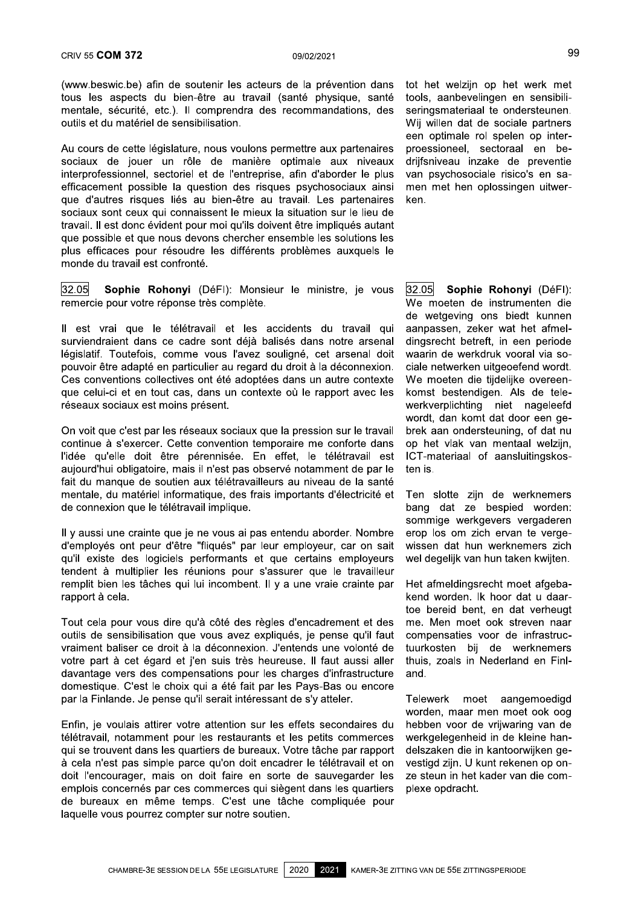l.

mentale, sécurité, etc.). Il comprendra des recommandations, des outils et du matériel de sensibilisation.

crav 55 **COM 372** 09/02/2021<br>
(www.beswic.be) afin de soutenir les acteurs de la prévention dans<br>
tous les aspects du bien-être au travail (santé physique, santé<br>
mentale, sécurité, etc.). Il comprendra des recommandations crack of the sacteurs de la prévention dans<br>312 (www.beswic.be) afin de soutenir les acteurs de la prévention dans<br>315 (toute les aspects du bien-être au travail (santé physique, santé<br>31 mentale, sécurité, etc.). Il compr CRIV 55 **COM 372** 09,<br>
(www.beswic.be) afin de soutenir les acteurs de<br>
tous les aspects du bien-être au travail (sant<br>
mentale, sécurité, etc.). Il comprendra des reco<br>
outils et du matériel de sensibilisation.<br>
Au cours Au cours de cette legislature, nous voulons permettre aux partenaires sociaux de jouer un rôle de manière optimale aux niveaux interprofessionnel, sectoriel et de l'entreprise, afin d'aborder le plus (www.beswic.be) afin de soutenir les acteurs de la prévention dans tot hous les aspects du bien-être au travail (santé physique, santé tools, mentale, sécurité, etc.). Il comprendra des recommandations, des sering outils e (www.beswic.be) aim de soutenir les acteurs de la prevention dans<br>tous les aspects du bien-être au travail (santé physique, santé<br>mentale, sécurité, etc.). Il comprendra des recommandations, des<br>outils et du matériel de se rous les aspects du bien-etre au travail (sante priysique, sante mentale, sécurité, etc.). Il comprendra des recommandations, des outils et du matériel de sensibilisation.<br>Au cours de cette législature, nous voulons permet sociaux sont ceux qui connaissent le mieux la situation sur le lieu de travail. Il est donc évident pour moi qu'ils doivent être impliqués autant que possible et que nous devons chercher ensemble les solutions les Au cours de cette législature, nous voulons permettre aux partenaires<br>sociaux de jouer un rôle de manière optimale aux niveaux<br>interprofessionnel, sectoriel et de l'entreprise, afin d'aborder le plus<br>efficacement possible Au cours de cette legislature, nous voulons permettre aux partenaires<br>sociaux de jouer un rôle de manière optimale aux niveaux<br>interprofessionnel, sectoriel et de l'entreprise, afin d'aborder le plus<br>efficacement possible monde du travail est confronté.

32.05 Sophie Rohonyi (DéFI): Monsieur le ministre, je vous remercie pour votre réponse très complète.

ii est vrai que le teletravali et les accidents du travail qui que possible et que nous devoirs crieticle ensemble les solutions les<br>plus efficaces pour résoudre les différents problèmes auxquels le<br>monde du travail est confronté.<br><u>32.05</u><br>**Sophie Rohonyi** (DéFI): Monsieur le ministre, législatif. Toutefois, comme vous l'avez souligné, cet arsenal doit pouvoir être adapté en particulier au regard du droit à la déconnexion. Ces conventions collectives ont été adoptées dans un autre contexte que celui-ci et en tout cas, dans un contexte où le rapport avec les réseaux sociaux est moins présent.

On volt que c'est par les reseaux sociaux que la pressión sur le travail continue à s'exercer. Cette convention temporaire me conforte dans l'idée qu'elle doit être pérennisée. En effet, le télétravail est<br>aujourd'hui-obligatoire, mais il n'est-pas-observé-notamment-de-par-le pouvoir etre adapte en particulier au regard du droit à la deconnexion.<br>Ces conventions collectives ont été adoptées dans un autre contexte<br>que celui-ci et en tout cas, dans un contexte où le rapport avec les<br>réseaux socia fait du manque de soutien aux télétravailleurs au niveau de la santé mentale, du matériel informatique, des frais importants d'électricité et de connexion que le télétravail implique. On volique cesti par less parents resseaux socializy que la pressioni sure travail librex and once<br>
continue à s'exercer. Cette convention temporaire me conforte dans op het vlak variation<br>
d'idée qu'elle doit être pérenni

Il y aussi une crainte que je ne vous ai pas entendu aborder. Nombre d'employés ont peur d'être "fliqués" par leur employeur, car on sait qu'il existe des logiciels performants et que certains employeurs tendent à multiplier les réunions pour s'assurer que le travailleur remplit bien les tâches qui lui incombent. Il y a une vraie crainte par rapport à cela.

rait du manque de soutien aux telerravailleurs au niveau de la sante<br>mentale, du matériel informatique, des frais importants d'électricité et<br>de connexion que le télétravail implique.<br>Il y aussi une crainte que je ne vous  $\mathbf{r}$ 1 out cela pour vous dire qu'a coté des régles d'encadrement et des If y aussi une crainte que je he vous at pas entendu aborder. Nombre d'employés ont peur d'être "fliqués" par leur employeurs, car on sait qu'il existe des logiciels performants et que certains employeurs tendent à multipl demployes ont peur drete iniques par ieur employeur, car on sat<br>
qu'il existe des logiciels performants et que certains employeurs<br>
tendent à multiplier les réunions pour s'assurer que le travailleur<br>
remplit bien les tâch votre part à cet égard et j'en suis très heureuse. Il faut aussi aller davantage vers des compensations pour les charges d'infrastructure domestique. C'est le choix qui a été fait par les Pays-Bas ou encore par la Finlande. Je pense qu'il serait intéressant de s'y atteler.

Enfin, je voulais attirer votre attention sur les effets secondaires du télétravail, notamment pour les restaurants et les petits commerces qui se trouvent dans les quartiers de bureaux. Votre tâche par rapport Vraiment bailser ce droit à la deconnexion. J'entends une volonte de<br>votre part à cet égard et j'en suis très heureuse. Il faut aussi aller<br>downstage vers des compensations pour les charges d'infrastructure<br>par la Finlande à cela n'est pas simple parce qu'on doit encadrer le télétravail et on doit l'encourager, mais on doit faire en sorte de sauvegarder les emplois concernés par ces commerces qui siègent dans les quartiers de bureaux en même temps. C'est une tâche compliquée pour par la Finlande. Je pense qu'il serait interessant de sy atteier.<br>
Enfin, je voulais attirer votre attention sur les effets secondaires du<br>
télétravail, notamment pour les restaurants et les petits commerces<br>
qui se trouve laquelle vous pourrez compter sur notre soutien.

tot het welzijn op het werk met<br>tools, aanbevelingen en sensibili-99<br>31<br>16) to dans tot het welzijn op het werk met<br>31. east tools, aanbevelingen en sensibili-<br>31. east seringsmateriaal te ondersteunen.<br>32. Wij willen dat de sociale partners<br>32. een optimale rol spelen op inter-<br>21. east seringsmateriaal te ondersteunen. Wij willen dat de sociale partners een optimale rol spelen op inter-<br>proessioneel, sectoraal en be-99<br>tot het welzijn op het werk met<br>tools, aanbevelingen en sensibili-<br>seringsmateriaal te ondersteunen.<br>Wij willen dat de sociale partners<br>een optimale rol spelen op inter-<br>proessioneel, sectoraal en be-<br>drijfsniveau inzak drijfsniveau inzake de preventie van psychosociale risico's en samen met hen oplossingen uitwerken.

32.05 Sophie Rohonyi (DéFI): We moeten de instrumenten die<br>de wetgeving ons biedt kunnen 32.05 **Sophie Rohonyi** (DéFI):<br>We moeten de instrumenten die<br>de wetgeving ons biedt kunnen<br>aanpassen, zeker wat het afmel-<br>dingsrecht betreft, in een periode<br>waarin de werkdruk vooral via so-<br>ciale netwerken uitgeoefend wo aanpassen, zeker wat het afmel-<br>dingsrecht betreft, in een periode itions les<br>
iguels le<br>
je vous 32.05 **Sophie Rohonyi** (DéFI):<br>
We moeten de instrumenten die<br>
de wetgeving ons biedt kunnen<br>
ivail qui aanpassen, zeker wat het afmel-<br>
arsenal dingsrecht betreft, in een periode<br>
enal doit waarin de werkdruk vooral via sociale netwerken uitgeoefend wordt. We moeten die tijdelijke overeen-<br>komst bestendigen. Als de telere, je vous **52.03 Sophie Rononyi** (Deri):<br>
We moeten de instrumenten die<br>
de wetgeving ons biedt kunnen<br>
travail qui aanpassen, zeker wat het afmel-<br>
otre arsenal dingsrecht betreft, in een periode<br>
arsenal doit waarin werkverplichting niet nageleefd wordt, dan komt dat door een ge-<br>brek aan ondersteuning, of dat nu nts au travail qui aanpassen, zeker wat net amel-<br>
dans notre arsenal dingsrecht betreft, in een periode<br>
eé, cet arsenal doit waarin de werkdruk vooral via so-<br>
it à la déconnexion. ciale netwerken uitgeoefend wordt.<br>
sun op het vlak van mentaal welzijn, ICT-materiaal of aansluitingskosten is.

Ten slotte zijn de werknemers Werkverplichting hiet nageleerd<br>
ression sur le travail brek aan ondersteuning, of dat nu<br>
e me conforte dans op het vlak van mentaal welzijn,<br>
le télétravail est ICT-materiaal of aansluitingskos-<br>
otamment de par le ten i sommige werkgevers vergaderen erop los om zich ervan te vergewissen dat hun werknemers zich wel degelijk van hun taken kwijten.

Het afmeldingsrecht moet afgeba-Ten slotte zijn de werknemers<br>bang dat ze bespied worden:<br>sommige werkgevers vergaderen<br>erop los om zich ervan te verge-<br>wissen dat hun werknemers zich<br>wel degelijk van hun taken kwijten.<br>Het afmeldingsrecht moet afgeba-<br>k kend worden. Ik hoor dat u daar-<br>toe bereid bent, en dat verheugt border. Nombre erop los om zich ervante verkgevers vergaderen<br>
border. Nombre erop los om zich ervan te verge-<br>
eur, car on sait wissen dat hun werknemers zich<br>
ins employeurs well degelijk van hun taken kwijten.<br>
le le tr me. Men moet ook streven naar compensaties voor de infrastruc-<br>tuurkosten bij de werknemers on sait wissen dat nun werknemers zich<br>loyeurs wel degelijk van hun taken kwijten.<br>vailleur<br>the par Het afmeldingsrecht moet afgeba-<br>kend worden. Ik hoor dat u daar-<br>toe bereid bent, en dat verheugt<br>et des me. Men moet ook thuis, zoals in Nederland en Finland.

 $\mathbb{Z}^2$ Telewerk moet aangemoedigd worden, maar men moet ook oog<br>hebben voor de vrijwaring van de cadrement et des me. Wen moet ook streven naar<br>
e pense qu'il faut compensaties voor de infrastruc-<br>
Il faut aussi aller thuis, zoals in Nederland en Finl-<br>
es d'infrastructure and.<br>
ys-Bas ou encore<br>
y atteler. Telewerk m werkgelegenheid in de kleine handelszaken die in kantoorwijken gevestigd zijn. U kunt rekenen op onze steun in het kader van die complexe opdracht.